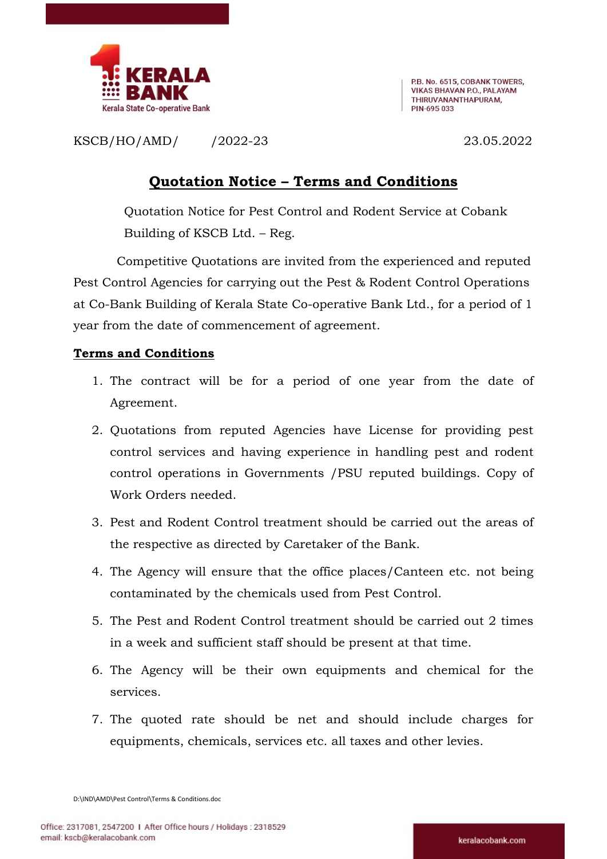

P.B. No. 6515, COBANK TOWERS, VIKAS RHAVAN PO. PAI AYAM THIRUVANANTHAPURAM. PIN-695 033

KSCB/HO/AMD/ /2022-23 23.05.2022

## Quotation Notice – Terms and Conditions

Quotation Notice for Pest Control and Rodent Service at Cobank Building of KSCB Ltd. – Reg.

Competitive Quotations are invited from the experienced and reputed Pest Control Agencies for carrying out the Pest & Rodent Control Operations at Co-Bank Building of Kerala State Co-operative Bank Ltd., for a period of 1 year from the date of commencement of agreement.

## Terms and Conditions

- 1. The contract will be for a period of one year from the date of Agreement.
- 2. Quotations from reputed Agencies have License for providing pest control services and having experience in handling pest and rodent control operations in Governments /PSU reputed buildings. Copy of Work Orders needed.
- 3. Pest and Rodent Control treatment should be carried out the areas of the respective as directed by Caretaker of the Bank.
- 4. The Agency will ensure that the office places/Canteen etc. not being contaminated by the chemicals used from Pest Control.
- 5. The Pest and Rodent Control treatment should be carried out 2 times in a week and sufficient staff should be present at that time.
- 6. The Agency will be their own equipments and chemical for the services.
- 7. The quoted rate should be net and should include charges for equipments, chemicals, services etc. all taxes and other levies.

D:\IND\AMD\Pest Control\Terms & Conditions.doc